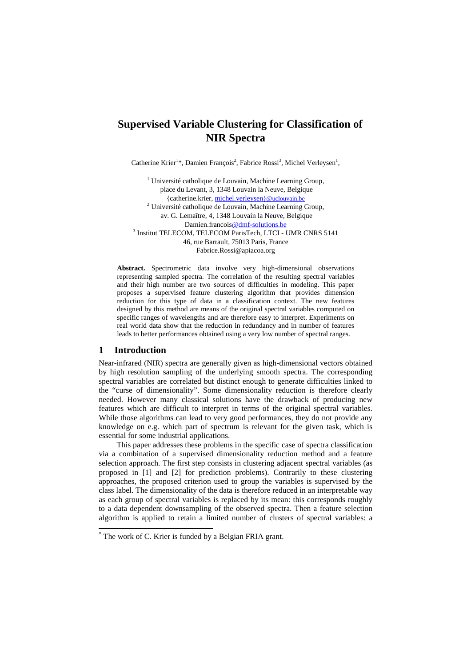# **Supervised Variable Clustering for Classification of NIR Spectra**

Catherine Krier<sup>1</sup>\*, Damien François<sup>2</sup>, Fabrice Rossi<sup>3</sup>, Michel Verleysen<sup>1</sup>,

<sup>1</sup> Université catholique de Louvain, Machine Learning Group, place du Levant, 3, 1348 Louvain la Neuve, Belgique {catherine.krier, michel.verleysen}@uclouvain.be <sup>2</sup> Université catholique de Louvain, Machine Learning Group, av. G. Lemaître, 4, 1348 Louvain la Neuve, Belgique Damien.francois@dmf-solutions.be 3 Institut TELECOM, TELECOM ParisTech, LTCI - UMR CNRS 5141 46, rue Barrault, 75013 Paris, France Fabrice.Rossi@apiacoa.org

**Abstract.** Spectrometric data involve very high-dimensional observations representing sampled spectra. The correlation of the resulting spectral variables and their high number are two sources of difficulties in modeling. This paper proposes a supervised feature clustering algorithm that provides dimension reduction for this type of data in a classification context. The new features designed by this method are means of the original spectral variables computed on specific ranges of wavelengths and are therefore easy to interpret. Experiments on real world data show that the reduction in redundancy and in number of features leads to better performances obtained using a very low number of spectral ranges.

# **1 Introduction**

l

Near-infrared (NIR) spectra are generally given as high-dimensional vectors obtained by high resolution sampling of the underlying smooth spectra. The corresponding spectral variables are correlated but distinct enough to generate difficulties linked to the "curse of dimensionality". Some dimensionality reduction is therefore clearly needed. However many classical solutions have the drawback of producing new features which are difficult to interpret in terms of the original spectral variables. While those algorithms can lead to very good performances, they do not provide any knowledge on e.g. which part of spectrum is relevant for the given task, which is essential for some industrial applications.

 This paper addresses these problems in the specific case of spectra classification via a combination of a supervised dimensionality reduction method and a feature selection approach. The first step consists in clustering adjacent spectral variables (as proposed in [1] and [2] for prediction problems). Contrarily to these clustering approaches, the proposed criterion used to group the variables is supervised by the class label. The dimensionality of the data is therefore reduced in an interpretable way as each group of spectral variables is replaced by its mean: this corresponds roughly to a data dependent downsampling of the observed spectra. Then a feature selection algorithm is applied to retain a limited number of clusters of spectral variables: a

<sup>\*</sup> The work of C. Krier is funded by a Belgian FRIA grant.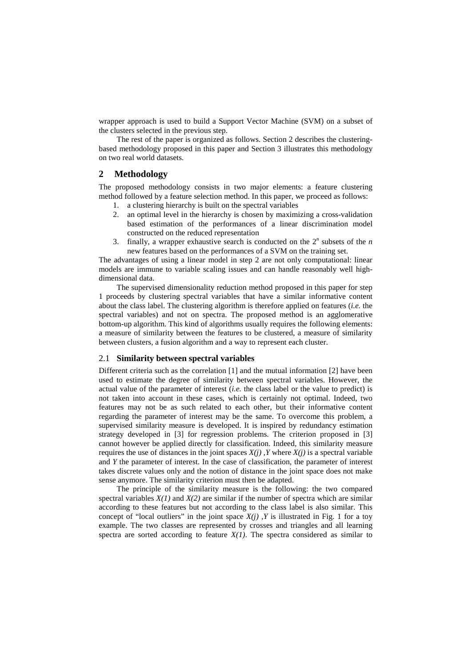wrapper approach is used to build a Support Vector Machine (SVM) on a subset of the clusters selected in the previous step.

 The rest of the paper is organized as follows. Section 2 describes the clusteringbased methodology proposed in this paper and Section 3 illustrates this methodology on two real world datasets.

# **2 Methodology**

The proposed methodology consists in two major elements: a feature clustering method followed by a feature selection method. In this paper, we proceed as follows:

- 1. a clustering hierarchy is built on the spectral variables
- 2. an optimal level in the hierarchy is chosen by maximizing a cross-validation based estimation of the performances of a linear discrimination model constructed on the reduced representation
- 3. finally, a wrapper exhaustive search is conducted on the  $2^n$  subsets of the  $n$ new features based on the performances of a SVM on the training set.

The advantages of using a linear model in step 2 are not only computational: linear models are immune to variable scaling issues and can handle reasonably well highdimensional data.

 The supervised dimensionality reduction method proposed in this paper for step 1 proceeds by clustering spectral variables that have a similar informative content about the class label. The clustering algorithm is therefore applied on features (*i.e.* the spectral variables) and not on spectra. The proposed method is an agglomerative bottom-up algorithm. This kind of algorithms usually requires the following elements: a measure of similarity between the features to be clustered, a measure of similarity between clusters, a fusion algorithm and a way to represent each cluster.

# 2.1 **Similarity between spectral variables**

Different criteria such as the correlation [1] and the mutual information [2] have been used to estimate the degree of similarity between spectral variables. However, the actual value of the parameter of interest (*i.e.* the class label or the value to predict) is not taken into account in these cases, which is certainly not optimal. Indeed, two features may not be as such related to each other, but their informative content regarding the parameter of interest may be the same. To overcome this problem, a supervised similarity measure is developed. It is inspired by redundancy estimation strategy developed in [3] for regression problems. The criterion proposed in [3] cannot however be applied directly for classification. Indeed, this similarity measure requires the use of distances in the joint spaces  $X(j)$ , Y where  $X(j)$  is a spectral variable and *Y* the parameter of interest. In the case of classification, the parameter of interest takes discrete values only and the notion of distance in the joint space does not make sense anymore. The similarity criterion must then be adapted.

 The principle of the similarity measure is the following: the two compared spectral variables  $X(1)$  and  $X(2)$  are similar if the number of spectra which are similar according to these features but not according to the class label is also similar. This concept of "local outliers" in the joint space  $X(j)$ , Y is illustrated in Fig. 1 for a toy example. The two classes are represented by crosses and triangles and all learning spectra are sorted according to feature  $X(1)$ . The spectra considered as similar to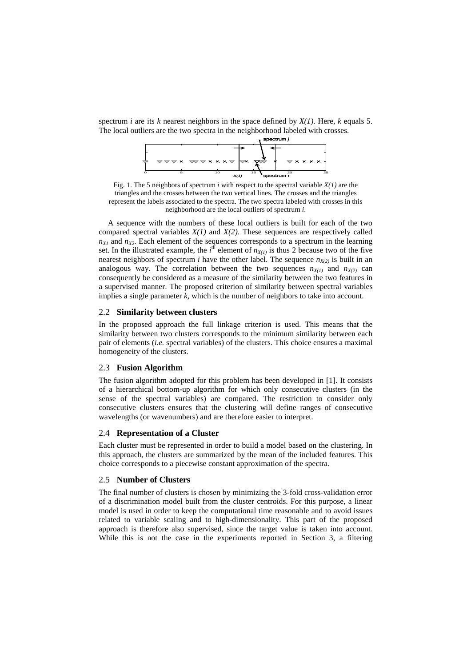spectrum *i* are its *k* nearest neighbors in the space defined by *X(1)*. Here, *k* equals 5. The local outliers are the two spectra in the neighborhood labeled with crosses.



Fig. 1. The 5 neighbors of spectrum *i* with respect to the spectral variable  $X(I)$  are the triangles and the crosses between the two vertical lines. The crosses and the triangles represent the labels associated to the spectra. The two spectra labeled with crosses in this neighborhood are the local outliers of spectrum *i*.

 A sequence with the numbers of these local outliers is built for each of the two compared spectral variables *X(1)* and *X(2)*. These sequences are respectively called  $n_{X1}$  and  $n_{X2}$ . Each element of the sequences corresponds to a spectrum in the learning set. In the illustrated example, the  $i^{\text{th}}$  element of  $n_{X(1)}$  is thus 2 because two of the five nearest neighbors of spectrum *i* have the other label. The sequence  $n_{X(2)}$  is built in an analogous way. The correlation between the two sequences  $n_{X(1)}$  and  $n_{X(2)}$  can consequently be considered as a measure of the similarity between the two features in a supervised manner. The proposed criterion of similarity between spectral variables implies a single parameter *k*, which is the number of neighbors to take into account.

#### 2.2 **Similarity between clusters**

In the proposed approach the full linkage criterion is used. This means that the similarity between two clusters corresponds to the minimum similarity between each pair of elements (*i.e.* spectral variables) of the clusters. This choice ensures a maximal homogeneity of the clusters.

#### 2.3 **Fusion Algorithm**

The fusion algorithm adopted for this problem has been developed in [1]. It consists of a hierarchical bottom-up algorithm for which only consecutive clusters (in the sense of the spectral variables) are compared. The restriction to consider only consecutive clusters ensures that the clustering will define ranges of consecutive wavelengths (or wavenumbers) and are therefore easier to interpret.

#### 2.4 **Representation of a Cluster**

Each cluster must be represented in order to build a model based on the clustering. In this approach, the clusters are summarized by the mean of the included features. This choice corresponds to a piecewise constant approximation of the spectra.

### 2.5 **Number of Clusters**

The final number of clusters is chosen by minimizing the 3-fold cross-validation error of a discrimination model built from the cluster centroids. For this purpose, a linear model is used in order to keep the computational time reasonable and to avoid issues related to variable scaling and to high-dimensionality. This part of the proposed approach is therefore also supervised, since the target value is taken into account. While this is not the case in the experiments reported in Section 3, a filtering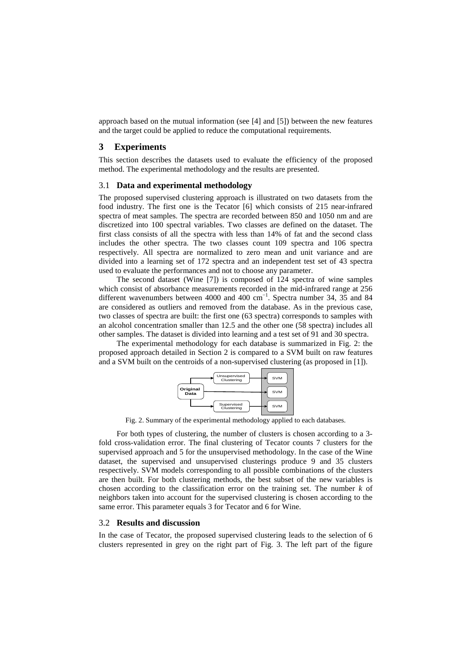approach based on the mutual information (see [4] and [5]) between the new features and the target could be applied to reduce the computational requirements.

#### **3 Experiments**

This section describes the datasets used to evaluate the efficiency of the proposed method. The experimental methodology and the results are presented.

### 3.1 **Data and experimental methodology**

The proposed supervised clustering approach is illustrated on two datasets from the food industry. The first one is the Tecator [6] which consists of 215 near-infrared spectra of meat samples. The spectra are recorded between 850 and 1050 nm and are discretized into 100 spectral variables. Two classes are defined on the dataset. The first class consists of all the spectra with less than 14% of fat and the second class includes the other spectra. The two classes count 109 spectra and 106 spectra respectively. All spectra are normalized to zero mean and unit variance and are divided into a learning set of 172 spectra and an independent test set of 43 spectra used to evaluate the performances and not to choose any parameter.

 The second dataset (Wine [7]) is composed of 124 spectra of wine samples which consist of absorbance measurements recorded in the mid-infrared range at 256 different wavenumbers between 4000 and 400 cm<sup>-1</sup>. Spectra number 34, 35 and 84 are considered as outliers and removed from the database. As in the previous case, two classes of spectra are built: the first one (63 spectra) corresponds to samples with an alcohol concentration smaller than 12.5 and the other one (58 spectra) includes all other samples. The dataset is divided into learning and a test set of 91 and 30 spectra.

 The experimental methodology for each database is summarized in Fig. 2: the proposed approach detailed in Section 2 is compared to a SVM built on raw features and a SVM built on the centroids of a non-supervised clustering (as proposed in [1]).



Fig. 2. Summary of the experimental methodology applied to each databases.

 For both types of clustering, the number of clusters is chosen according to a 3 fold cross-validation error. The final clustering of Tecator counts 7 clusters for the supervised approach and 5 for the unsupervised methodology. In the case of the Wine dataset, the supervised and unsupervised clusterings produce 9 and 35 clusters respectively. SVM models corresponding to all possible combinations of the clusters are then built. For both clustering methods, the best subset of the new variables is chosen according to the classification error on the training set. The number *k* of neighbors taken into account for the supervised clustering is chosen according to the same error. This parameter equals 3 for Tecator and 6 for Wine.

# 3.2 **Results and discussion**

In the case of Tecator, the proposed supervised clustering leads to the selection of 6 clusters represented in grey on the right part of Fig. 3. The left part of the figure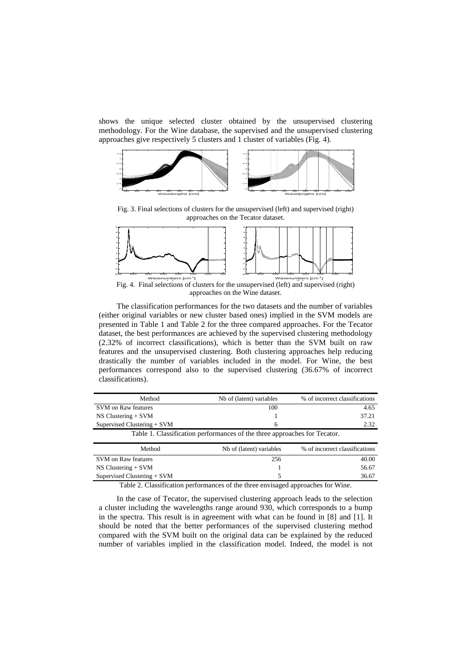shows the unique selected cluster obtained by the unsupervised clustering methodology. For the Wine database, the supervised and the unsupervised clustering approaches give respectively 5 clusters and 1 cluster of variables (Fig. 4).



Fig. 3. Final selections of clusters for the unsupervised (left) and supervised (right) approaches on the Tecator dataset.



Fig. 4. Final selections of clusters for the unsupervised (left) and supervised (right) approaches on the Wine dataset.

 The classification performances for the two datasets and the number of variables (either original variables or new cluster based ones) implied in the SVM models are presented in Table 1 and Table 2 for the three compared approaches. For the Tecator dataset, the best performances are achieved by the supervised clustering methodology (2.32% of incorrect classifications), which is better than the SVM built on raw features and the unsupervised clustering. Both clustering approaches help reducing drastically the number of variables included in the model. For Wine, the best performances correspond also to the supervised clustering (36.67% of incorrect classifications).

| Method                                                                                                                                                                                                                                                                                                                                                     | Nb of (latent) variables | % of incorrect classifications |
|------------------------------------------------------------------------------------------------------------------------------------------------------------------------------------------------------------------------------------------------------------------------------------------------------------------------------------------------------------|--------------------------|--------------------------------|
| SVM on Raw features                                                                                                                                                                                                                                                                                                                                        | 100                      | 4.65                           |
| $NS Clustering + SVM$                                                                                                                                                                                                                                                                                                                                      |                          | 37.21                          |
| Supervised Clustering $+$ SVM                                                                                                                                                                                                                                                                                                                              | 6                        | 2.32                           |
| Table 1. Classification performances of the three approaches for Tecator.                                                                                                                                                                                                                                                                                  |                          |                                |
| Method                                                                                                                                                                                                                                                                                                                                                     | Nb of (latent) variables | % of incorrect classifications |
| SVM on Raw features                                                                                                                                                                                                                                                                                                                                        | 256                      | 40.00                          |
| $NS Clustering + SVM$                                                                                                                                                                                                                                                                                                                                      |                          | 56.67                          |
| Supervised Clustering $+$ SVM                                                                                                                                                                                                                                                                                                                              |                          | 36.67                          |
| $T_{\rm eff}$ , $\Lambda$ , $\Omega$ , $\Omega$ , $\Omega$ , $\Omega$ , $\Omega$ , $\Omega$ , $\Omega$ , $\Omega$ , $\Omega$ , $\Omega$ , $\Omega$ , $\Omega$ , $\Omega$ , $\Omega$ , $\Omega$ , $\Omega$ , $\Omega$ , $\Omega$ , $\Omega$ , $\Omega$ , $\Omega$ , $\Omega$ , $\Omega$ , $\Omega$ , $\Omega$ , $\Omega$ , $\Omega$ , $\Omega$ , $\Omega$ , |                          |                                |

Table 2. Classification performances of the three envisaged approaches for Wine.

 In the case of Tecator, the supervised clustering approach leads to the selection a cluster including the wavelengths range around 930, which corresponds to a bump in the spectra. This result is in agreement with what can be found in [8] and [1]. It should be noted that the better performances of the supervised clustering method compared with the SVM built on the original data can be explained by the reduced number of variables implied in the classification model. Indeed, the model is not